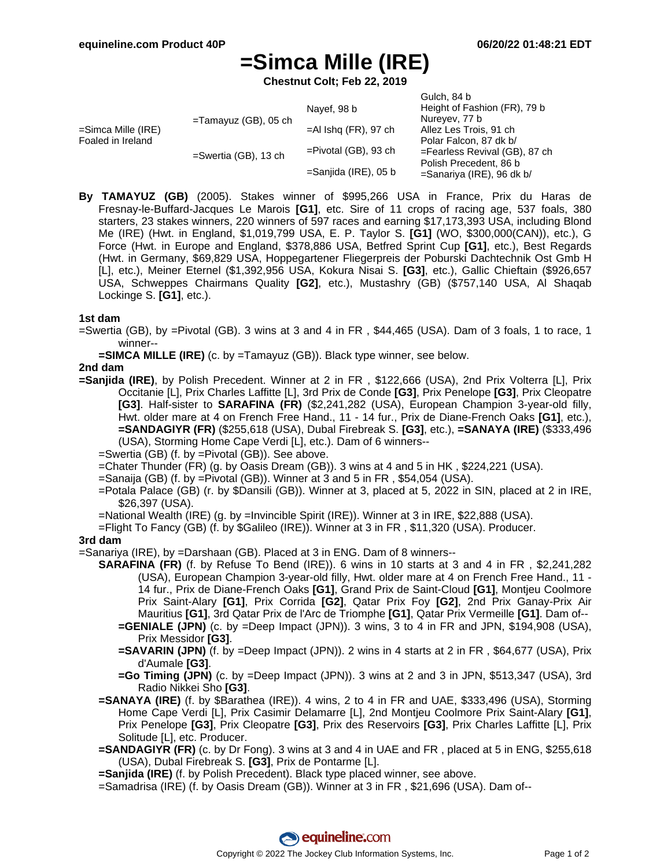$Culab$ ,  $94 b$ 

# **=Simca Mille (IRE)**

**Chestnut Colt; Feb 22, 2019**

| =Simca Mille (IRE)<br>Foaled in Ireland | $=$ Tamayuz (GB), 05 ch | Navef, 98 b             | <b>OUIGH.</b> 04 D<br>Height of Fashion (FR), 79 b     |
|-----------------------------------------|-------------------------|-------------------------|--------------------------------------------------------|
|                                         |                         |                         | Nureyev, 77 b                                          |
|                                         |                         | $=$ Al Ishq (FR), 97 ch | Allez Les Trois, 91 ch                                 |
|                                         | $=$ Swertia (GB), 13 ch |                         | Polar Falcon, 87 dk b/                                 |
|                                         |                         | $=$ Pivotal (GB), 93 ch | $=$ Fearless Revival (GB), 87 ch                       |
|                                         |                         | =Sanjida (IRE), 05 b    | Polish Precedent, 86 b<br>$=$ Sanariya (IRE), 96 dk b/ |
|                                         |                         |                         |                                                        |

**By TAMAYUZ (GB)** (2005). Stakes winner of \$995,266 USA in France, Prix du Haras de Fresnay-le-Buffard-Jacques Le Marois **[G1]**, etc. Sire of 11 crops of racing age, 537 foals, 380 starters, 23 stakes winners, 220 winners of 597 races and earning \$17,173,393 USA, including Blond Me (IRE) (Hwt. in England, \$1,019,799 USA, E. P. Taylor S. **[G1]** (WO, \$300,000(CAN)), etc.), G Force (Hwt. in Europe and England, \$378,886 USA, Betfred Sprint Cup **[G1]**, etc.), Best Regards (Hwt. in Germany, \$69,829 USA, Hoppegartener Fliegerpreis der Poburski Dachtechnik Ost Gmb H [L], etc.), Meiner Eternel (\$1,392,956 USA, Kokura Nisai S. **[G3]**, etc.), Gallic Chieftain (\$926,657 USA, Schweppes Chairmans Quality **[G2]**, etc.), Mustashry (GB) (\$757,140 USA, Al Shaqab Lockinge S. **[G1]**, etc.).

#### **1st dam**

- =Swertia (GB), by =Pivotal (GB). 3 wins at 3 and 4 in FR , \$44,465 (USA). Dam of 3 foals, 1 to race, 1 winner--
	- **=SIMCA MILLE (IRE)** (c. by =Tamayuz (GB)). Black type winner, see below.

### **2nd dam**

- **=Sanjida (IRE)**, by Polish Precedent. Winner at 2 in FR , \$122,666 (USA), 2nd Prix Volterra [L], Prix Occitanie [L], Prix Charles Laffitte [L], 3rd Prix de Conde **[G3]**, Prix Penelope **[G3]**, Prix Cleopatre **[G3]**. Half-sister to **SARAFINA (FR)** (\$2,241,282 (USA), European Champion 3-year-old filly, Hwt. older mare at 4 on French Free Hand., 11 - 14 fur., Prix de Diane-French Oaks **[G1]**, etc.), **=SANDAGIYR (FR)** (\$255,618 (USA), Dubal Firebreak S. **[G3]**, etc.), **=SANAYA (IRE)** (\$333,496 (USA), Storming Home Cape Verdi [L], etc.). Dam of 6 winners--
	- =Swertia (GB) (f. by =Pivotal (GB)). See above.
	- =Chater Thunder (FR) (g. by Oasis Dream (GB)). 3 wins at 4 and 5 in HK , \$224,221 (USA).
	- =Sanaija (GB) (f. by =Pivotal (GB)). Winner at 3 and 5 in FR , \$54,054 (USA).
	- =Potala Palace (GB) (r. by \$Dansili (GB)). Winner at 3, placed at 5, 2022 in SIN, placed at 2 in IRE, \$26,397 (USA).
	- =National Wealth (IRE) (g. by =Invincible Spirit (IRE)). Winner at 3 in IRE, \$22,888 (USA).
	- =Flight To Fancy (GB) (f. by \$Galileo (IRE)). Winner at 3 in FR , \$11,320 (USA). Producer.

#### **3rd dam**

- =Sanariya (IRE), by =Darshaan (GB). Placed at 3 in ENG. Dam of 8 winners--
	- **SARAFINA (FR)** (f. by Refuse To Bend (IRE)). 6 wins in 10 starts at 3 and 4 in FR , \$2,241,282 (USA), European Champion 3-year-old filly, Hwt. older mare at 4 on French Free Hand., 11 - 14 fur., Prix de Diane-French Oaks **[G1]**, Grand Prix de Saint-Cloud **[G1]**, Montjeu Coolmore Prix Saint-Alary **[G1]**, Prix Corrida **[G2]**, Qatar Prix Foy **[G2]**, 2nd Prix Ganay-Prix Air Mauritius **[G1]**, 3rd Qatar Prix de l'Arc de Triomphe **[G1]**, Qatar Prix Vermeille **[G1]**. Dam of--
		- **=GENIALE (JPN)** (c. by =Deep Impact (JPN)). 3 wins, 3 to 4 in FR and JPN, \$194,908 (USA), Prix Messidor **[G3]**.
		- **=SAVARIN (JPN)** (f. by =Deep Impact (JPN)). 2 wins in 4 starts at 2 in FR , \$64,677 (USA), Prix d'Aumale **[G3]**.
		- **=Go Timing (JPN)** (c. by =Deep Impact (JPN)). 3 wins at 2 and 3 in JPN, \$513,347 (USA), 3rd Radio Nikkei Sho **[G3]**.
	- **=SANAYA (IRE)** (f. by \$Barathea (IRE)). 4 wins, 2 to 4 in FR and UAE, \$333,496 (USA), Storming Home Cape Verdi [L], Prix Casimir Delamarre [L], 2nd Montjeu Coolmore Prix Saint-Alary **[G1]**, Prix Penelope **[G3]**, Prix Cleopatre **[G3]**, Prix des Reservoirs **[G3]**, Prix Charles Laffitte [L], Prix Solitude [L], etc. Producer.
	- **=SANDAGIYR (FR)** (c. by Dr Fong). 3 wins at 3 and 4 in UAE and FR , placed at 5 in ENG, \$255,618 (USA), Dubal Firebreak S. **[G3]**, Prix de Pontarme [L].
	- **=Sanjida (IRE)** (f. by Polish Precedent). Black type placed winner, see above.
	- =Samadrisa (IRE) (f. by Oasis Dream (GB)). Winner at 3 in FR , \$21,696 (USA). Dam of--